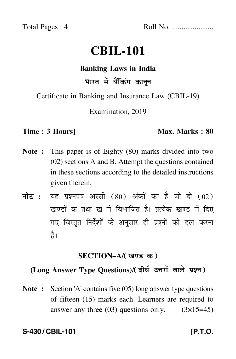Total Pages : 4 Roll No. ......................

# **CBIL-101**

# **Banking Laws in India** भारत में बैंकिंग कानून

Certificate in Banking and Insurance Law (CBIL-19)

Examination, 2019

#### **Time : 3 Hours]** Max. Marks : 80

- **Note :** This paper is of Eighty (80) marks divided into two (02) sections A and B. Attempt the questions contained in these sections according to the detailed instructions given therein.
- नोट : यह प्रश्नपत्र अस्सी (80) अंकों का है जो दो (02) खण्डों क तथा ख में विभाजित है। प्रत्येक खण्ड में दिए गए विस्तृत निर्देशों के अनुसार ही प्रश्नों को हल करन<mark>ा</mark> है।

### <u>SECTION–A</u>/( खण्ड-क )

## (Long Answer Type Questions)/( दीर्घ उत्तरों वाले प्रश्न )

**Note :** Section 'A' contains five (05) long answer type questions of fifteen (15) marks each. Learners are required to answer any three  $(03)$  questions only.  $(3\times15=45)$ 

**S-430 / CBIL-101 [P.T.O.**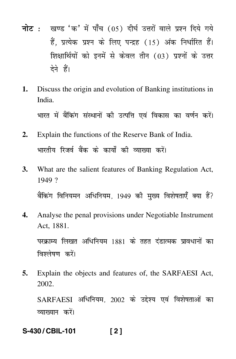- <mark>नोट</mark> : खण्ड 'क' में पाँच (05) दीर्घ उत्तरों वाले प्रश्न दिये गये हैं, प्रत्येक प्रश्न के लिए पन्द्रह (15) अंक निर्धारित हैं। शिक्षार्थियों को इनमें से केवल तीन (03) प्रश्नों के उत्तर देने हैं।
- **1.** Discuss the origin and evolution of Banking institutions in India.

भारत में बैंकिंग संस्थानों की उत्पत्ति एवं विकास का वर्णन करें। --

- **2.** Explain the functions of the Reserve Bank of India. भारतीय रिजर्व बैंक के कार्यों की व्याख्या करें। -
- **3.** What are the salient features of Banking Regulation Act, 1949 ? बैंकिंग विनियमन अधिनियम, 1949 की मुख्य विशेषताएँ क्या हैं?
- **4.** Analyse the penal provisions under Negotiable Instrument Act, 1881.

परक्राम्य लिखत अधिनियम 1881 के तहत दंडात्मक प्रावधानों का विश्लेषण करें।

**5.** Explain the objects and features of, the SARFAESI Act, 2002.

 $\operatorname{SARFAESI}$  अधिनियम, 2002 के उद्देश्य एवं विशेषताओं का व्याख्यान करे<mark>ं</mark>।

**S-430 / CBIL-101 [ 2 ]**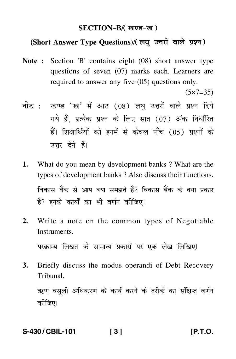### SECTION–B/( खण्ड-ख )

### (Short Answer Type Questions)/(लघु उत्तरों वाले प्रश्न)

**Note :** Section 'B' contains eight (08) short answer type questions of seven (07) marks each. Learners are required to answer any five (05) questions only.

 $(5 \times 7 = 35)$ 

- <mark>नोट</mark> : खण्ड 'ख' में आठ (08) लघु उत्तरों वाले प्रश्न दिये गये हैं, प्रत्येक प्रश्न के लिए सात (07) अंक निर्धारित हैं। शिक्षार्थियों को इनमें से केवल पाँच (05) प्रश्नों के उत्तर देने हैं।
- **1.** What do you mean by development banks ? What are the types of development banks ? Also discuss their functions. विकास बैंक से आप क्या समझते हैं? विकास बैंक के क्या प्रकार हैं? इनके कार्यों का भी वर्णन कीजिए।
- **2.** Write a note on the common types of Negotiable Instruments.

परक्राम्य लिखत के सामान्य प्रकारों पर एक लेख लिखिए।

**3.** Briefly discuss the modus operandi of Debt Recovery Tribunal.

ऋण वसूली अधिकरण के कार्य करने के तरीके का संक्षिप्त वर्णन कीजिए।

#### **S-430 / CBIL-101 [ 3 ] [P.T.O.**